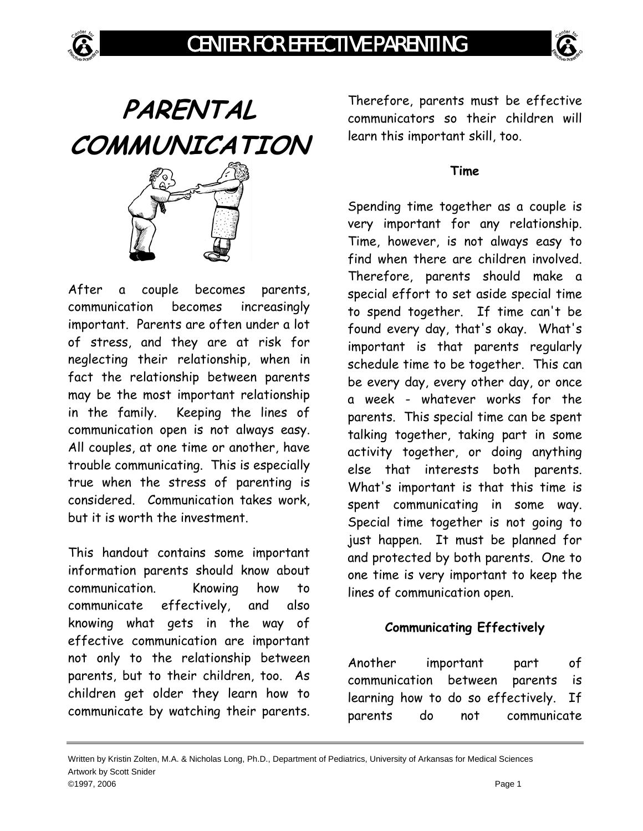





After a couple becomes parents, communication becomes increasingly important. Parents are often under a lot of stress, and they are at risk for neglecting their relationship, when in fact the relationship between parents may be the most important relationship in the family. Keeping the lines of communication open is not always easy. All couples, at one time or another, have trouble communicating. This is especially true when the stress of parenting is considered. Communication takes work, but it is worth the investment.

This handout contains some important information parents should know about communication. Knowing how to communicate effectively, and also knowing what gets in the way of effective communication are important not only to the relationship between parents, but to their children, too. As children get older they learn how to communicate by watching their parents. Therefore, parents must be effective communicators so their children will learn this important skill, too.

## **Time**

Spending time together as a couple is very important for any relationship. Time, however, is not always easy to find when there are children involved. Therefore, parents should make a special effort to set aside special time to spend together. If time can't be found every day, that's okay. What's important is that parents regularly schedule time to be together. This can be every day, every other day, or once a week - whatever works for the parents. This special time can be spent talking together, taking part in some activity together, or doing anything else that interests both parents. What's important is that this time is spent communicating in some way. Special time together is not going to just happen. It must be planned for and protected by both parents. One to one time is very important to keep the lines of communication open.

## **Communicating Effectively**

Another important part of communication between parents is learning how to do so effectively. If parents do not communicate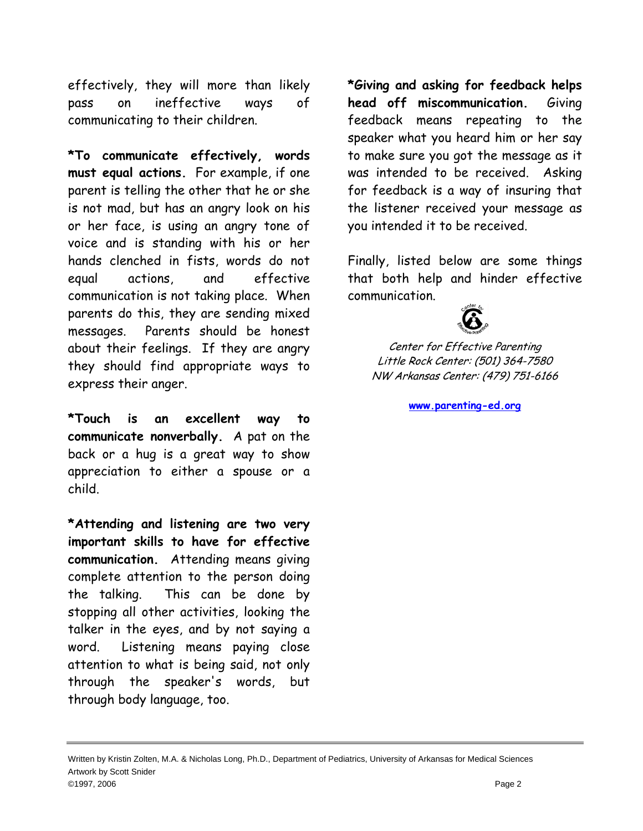effectively, they will more than likely pass on ineffective ways of communicating to their children.

**\*To communicate effectively, words must equal actions.** For example, if one parent is telling the other that he or she is not mad, but has an angry look on his or her face, is using an angry tone of voice and is standing with his or her hands clenched in fists, words do not equal actions, and effective communication is not taking place. When parents do this, they are sending mixed messages. Parents should be honest about their feelings. If they are angry they should find appropriate ways to express their anger.

**\*Touch is an excellent way to communicate nonverbally.** A pat on the back or a hug is a great way to show appreciation to either a spouse or a child.

**\*Attending and listening are two very important skills to have for effective communication.** Attending means giving complete attention to the person doing the talking. This can be done by stopping all other activities, looking the talker in the eyes, and by not saying a word. Listening means paying close attention to what is being said, not only through the speaker's words, but through body language, too.

**\*Giving and asking for feedback helps head off miscommunication.** Giving feedback means repeating to the speaker what you heard him or her say to make sure you got the message as it was intended to be received. Asking for feedback is a way of insuring that the listener received your message as you intended it to be received.

Finally, listed below are some things that both help and hinder effective communication.



Center for Effective Parenting Little Rock Center: (501) 364-7580 NW Arkansas Center: (479) 751-6166

**[www.parenting-ed.org](http://www.parenting-ed.org/)**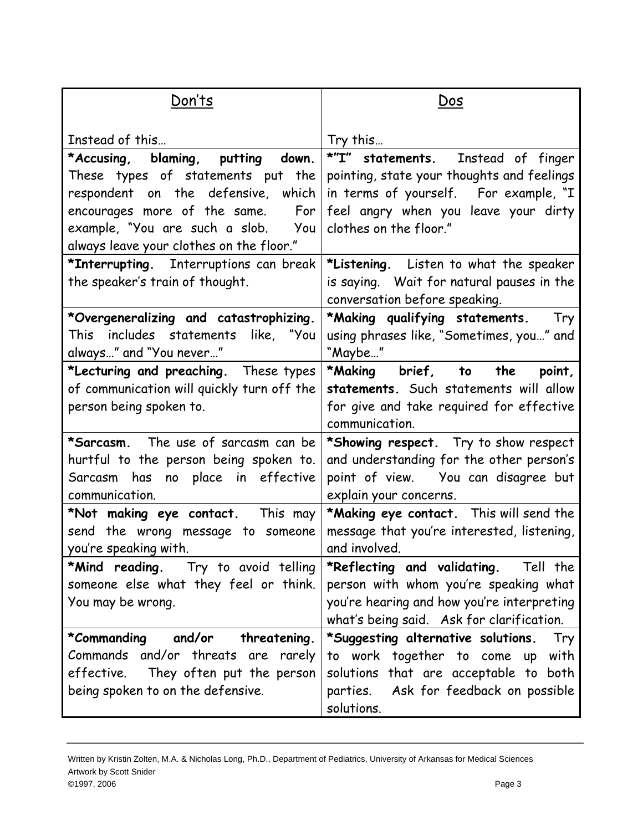| Don'ts                                                                                                                                                                                                                                 | Dos                                                                                                                                                                                         |
|----------------------------------------------------------------------------------------------------------------------------------------------------------------------------------------------------------------------------------------|---------------------------------------------------------------------------------------------------------------------------------------------------------------------------------------------|
| Instead of this                                                                                                                                                                                                                        | Try this                                                                                                                                                                                    |
| *Accusing, blaming, putting down.<br>These types of statements put the<br>respondent on the defensive, which<br>encourages more of the same.<br>For<br>example, "You are such a slob.  You<br>always leave your clothes on the floor." | *"I" statements. Instead of finger<br>pointing, state your thoughts and feelings<br>in terms of yourself. For example, "I<br>feel angry when you leave your dirty<br>clothes on the floor." |
| *Interrupting. Interruptions can break<br>the speaker's train of thought.                                                                                                                                                              | *Listening. Listen to what the speaker<br>is saying. Wait for natural pauses in the<br>conversation before speaking.                                                                        |
| *Overgeneralizing and catastrophizing.<br>This includes statements like, "You<br>always" and "You never"                                                                                                                               | *Making qualifying statements.<br>Try<br>using phrases like, "Sometimes, you" and<br>"Maybe"                                                                                                |
| *Lecturing and preaching. These types<br>of communication will quickly turn off the<br>person being spoken to.                                                                                                                         | *Making brief, to<br>the<br>point,<br>statements. Such statements will allow<br>for give and take required for effective<br>communication.                                                  |
| <b>*Sarcasm.</b> The use of sarcasm can be<br>hurtful to the person being spoken to.<br>Sarcasm has no place in effective<br>communication.                                                                                            | *Showing respect. Try to show respect<br>and understanding for the other person's<br>point of view.  You can disagree but<br>explain your concerns.                                         |
| *Not making eye contact. This may<br>send the wrong message to someone<br>you're speaking with.                                                                                                                                        | *Making eye contact. This will send the<br>message that you're interested, listening,<br>and involved.                                                                                      |
| *Mind reading. Try to avoid telling<br>someone else what they feel or think.<br>You may be wrong.                                                                                                                                      | *Reflecting and validating. Tell the<br>person with whom you're speaking what<br>you're hearing and how you're interpreting<br>what's being said. Ask for clarification.                    |
| and/or<br>threatening.<br>*Commanding                                                                                                                                                                                                  | *Suggesting alternative solutions.<br>Try                                                                                                                                                   |
| Commands and/or threats are rarely<br>effective.<br>They often put the person<br>being spoken to on the defensive.                                                                                                                     | to work together to come up<br>with<br>solutions that are acceptable to both<br>parties. Ask for feedback on possible<br>solutions.                                                         |